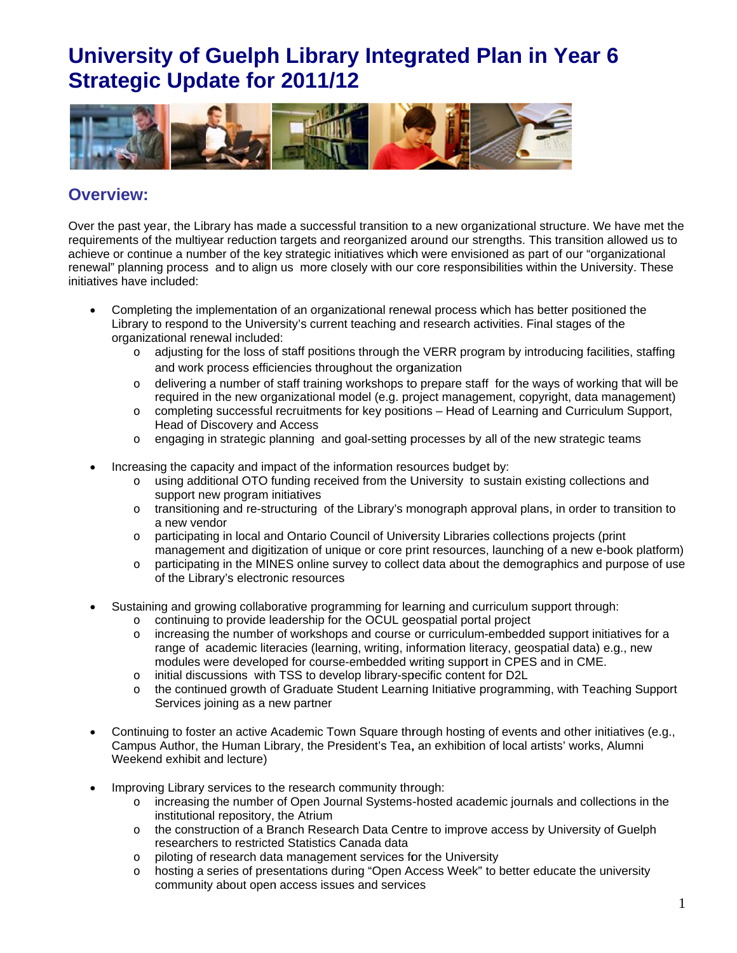

### **Overview:**

Over the past year, the Library has made a successful transition to a new organizational structure. We have met the requirements of the multivear reduction targets and reorganized around our strengths. This transition allowed us to achieve or continue a number of the key strategic initiatives which were envisioned as part of our "organizational renewal" planning process and to align us more closely with our core responsibilities within the University. These initiatives have included:

- Completing the implementation of an organizational renewal process which has better positioned the Library to respond to the University's current teaching and research activities. Final stages of the organizational renewal included:
	- o adjusting for the loss of staff positions through the VERR program by introducing facilities, staffing and work process efficiencies throughout the organization
	- delivering a number of staff training workshops to prepare staff for the ways of working that will be  $\circ$ required in the new organizational model (e.g. project management, copyright, data management)
	- o completing successful recruitments for key positions Head of Learning and Curriculum Support, Head of Discovery and Access
	- engaging in strategic planning and goal-setting processes by all of the new strategic teams  $\circ$
- Increasing the capacity and impact of the information resources budget by:
	- o using additional OTO funding received from the University to sustain existing collections and support new program initiatives
	- o transitioning and re-structuring of the Library's monograph approval plans, in order to transition to a new vendor
	- o participating in local and Ontario Council of University Libraries collections projects (print management and digitization of unique or core print resources, launching of a new e-book platform)
	- participating in the MINES online survey to collect data about the demographics and purpose of use  $\circ$ of the Library's electronic resources
- Sustaining and growing collaborative programming for learning and curriculum support through:
	- o continuing to provide leadership for the OCUL geospatial portal project
	- o increasing the number of workshops and course or curriculum-embedded support initiatives for a range of academic literacies (learning, writing, information literacy, geospatial data) e.g., new modules were developed for course-embedded writing support in CPES and in CME.
	- o initial discussions with TSS to develop library-specific content for D2L
	- o the continued growth of Graduate Student Learning Initiative programming, with Teaching Support Services joining as a new partner
- Continuing to foster an active Academic Town Square through hosting of events and other initiatives (e.g., Campus Author, the Human Library, the President's Tea, an exhibition of local artists' works, Alumni Weekend exhibit and lecture)
- Improving Library services to the research community through:
	- o increasing the number of Open Journal Systems-hosted academic journals and collections in the institutional repository, the Atrium
	- o the construction of a Branch Research Data Centre to improve access by University of Guelph researchers to restricted Statistics Canada data
	- $\circ$ piloting of research data management services for the University
	- $\circ$ hosting a series of presentations during "Open Access Week" to better educate the university community about open access issues and services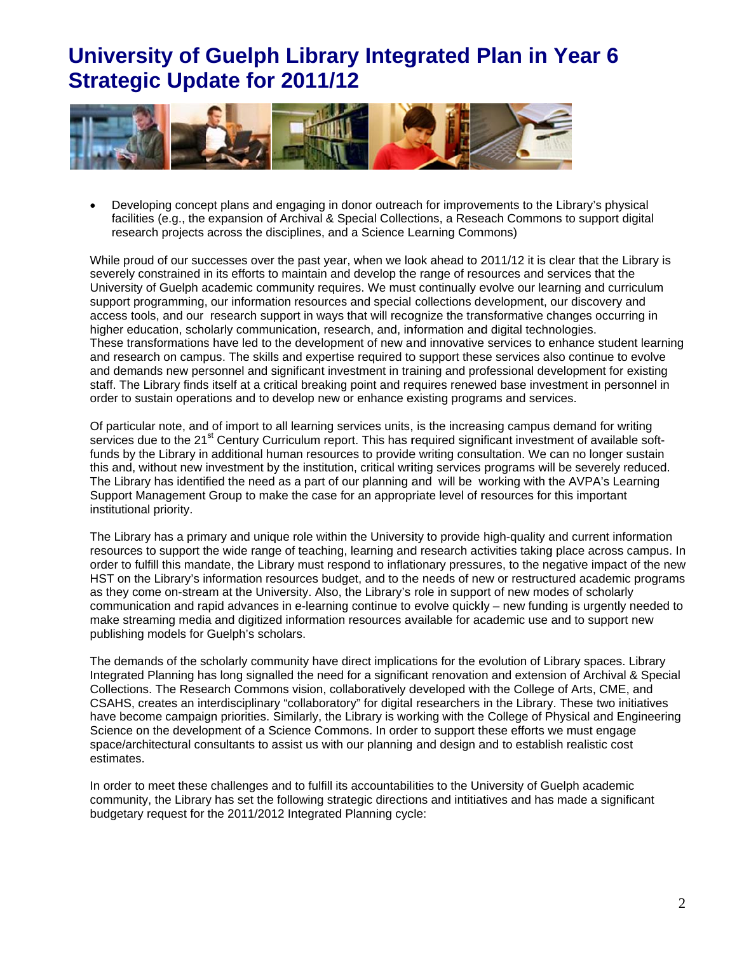

Developing concept plans and engaging in donor outreach for improvements to the Library's physical facilities (e.g., the expansion of Archival & Special Collections, a Reseach Commons to support digital research projects across the disciplines, and a Science Learning Commons)

While proud of our successes over the past year, when we look ahead to 2011/12 it is clear that the Library is severely constrained in its efforts to maintain and develop the range of resources and services that the University of Guelph academic community requires. We must continually evolve our learning and curriculum support programming, our information resources and special collections development, our discovery and access tools, and our research support in ways that will recognize the transformative changes occurring in higher education, scholarly communication, research, and, information and digital technologies. These transformations have led to the development of new and innovative services to enhance student learning and research on campus. The skills and expertise required to support these services also continue to evolve and demands new personnel and significant investment in training and professional development for existing staff. The Library finds itself at a critical breaking point and requires renewed base investment in personnel in order to sustain operations and to develop new or enhance existing programs and services.

Of particular note, and of import to all learning services units, is the increasing campus demand for writing services due to the 21<sup>st</sup> Century Curriculum report. This has required significant investment of available softfunds by the Library in additional human resources to provide writing consultation. We can no longer sustain this and, without new investment by the institution, critical writing services programs will be severely reduced. The Library has identified the need as a part of our planning and will be working with the AVPA's Learning Support Management Group to make the case for an appropriate level of resources for this important institutional priority.

The Library has a primary and unique role within the University to provide high-quality and current information resources to support the wide range of teaching, learning and research activities taking place across campus. In order to fulfill this mandate, the Library must respond to inflationary pressures, to the negative impact of the new HST on the Library's information resources budget, and to the needs of new or restructured academic programs as they come on-stream at the University. Also, the Library's role in support of new modes of scholarly communication and rapid advances in e-learning continue to evolve quickly – new funding is urgently needed to make streaming media and digitized information resources available for academic use and to support new publishing models for Guelph's scholars.

The demands of the scholarly community have direct implications for the evolution of Library spaces. Library Integrated Planning has long signalled the need for a significant renovation and extension of Archival & Special Collections. The Research Commons vision, collaboratively developed with the College of Arts, CME, and CSAHS, creates an interdisciplinary "collaboratory" for digital researchers in the Library. These two initiatives have become campaign priorities. Similarly, the Library is working with the College of Physical and Engineering Science on the development of a Science Commons. In order to support these efforts we must engage space/architectural consultants to assist us with our planning and design and to establish realistic cost estimates.

In order to meet these challenges and to fulfill its accountabilities to the University of Guelph academic community, the Library has set the following strategic directions and intitiatives and has made a significant budgetary request for the 2011/2012 Integrated Planning cycle: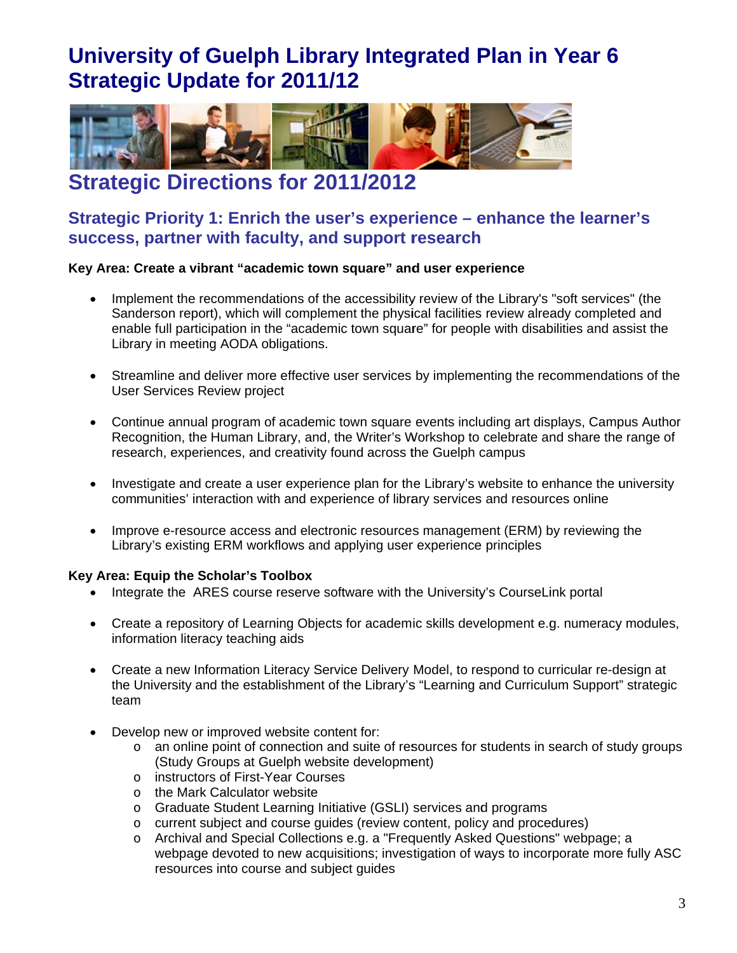

### **Strategic Directions for 2011/2012**

### Strategic Priority 1: Enrich the user's experience – enhance the learner's success, partner with faculty, and support research

### Key Area: Create a vibrant "academic town square" and user experience

- Implement the recommendations of the accessibility review of the Library's "soft services" (the Sanderson report), which will complement the physical facilities review already completed and enable full participation in the "academic town square" for people with disabilities and assist the Library in meeting AODA obligations.
- Streamline and deliver more effective user services by implementing the recommendations of the **User Services Review project**
- Continue annual program of academic town square events including art displays, Campus Author Recognition, the Human Library, and, the Writer's Workshop to celebrate and share the range of research, experiences, and creativity found across the Guelph campus
- Investigate and create a user experience plan for the Library's website to enhance the university  $\bullet$ communities' interaction with and experience of library services and resources online
- Improve e-resource access and electronic resources management (ERM) by reviewing the Library's existing ERM workflows and applying user experience principles

### Key Area: Equip the Scholar's Toolbox

- Integrate the ARES course reserve software with the University's CourseLink portal
- Create a repository of Learning Objects for academic skills development e.g. numeracy modules, information literacy teaching aids
- Create a new Information Literacy Service Delivery Model, to respond to curricular re-design at the University and the establishment of the Library's "Learning and Curriculum Support" strategic team
- Develop new or improved website content for:
	- o an online point of connection and suite of resources for students in search of study groups (Study Groups at Guelph website development)
	- o instructors of First-Year Courses
	- o the Mark Calculator website
	- o Graduate Student Learning Initiative (GSLI) services and programs
	- $\circ$  current subject and course guides (review content, policy and procedures)
	- o Archival and Special Collections e.g. a "Frequently Asked Questions" webpage; a webpage devoted to new acquisitions; investigation of ways to incorporate more fully ASC resources into course and subject guides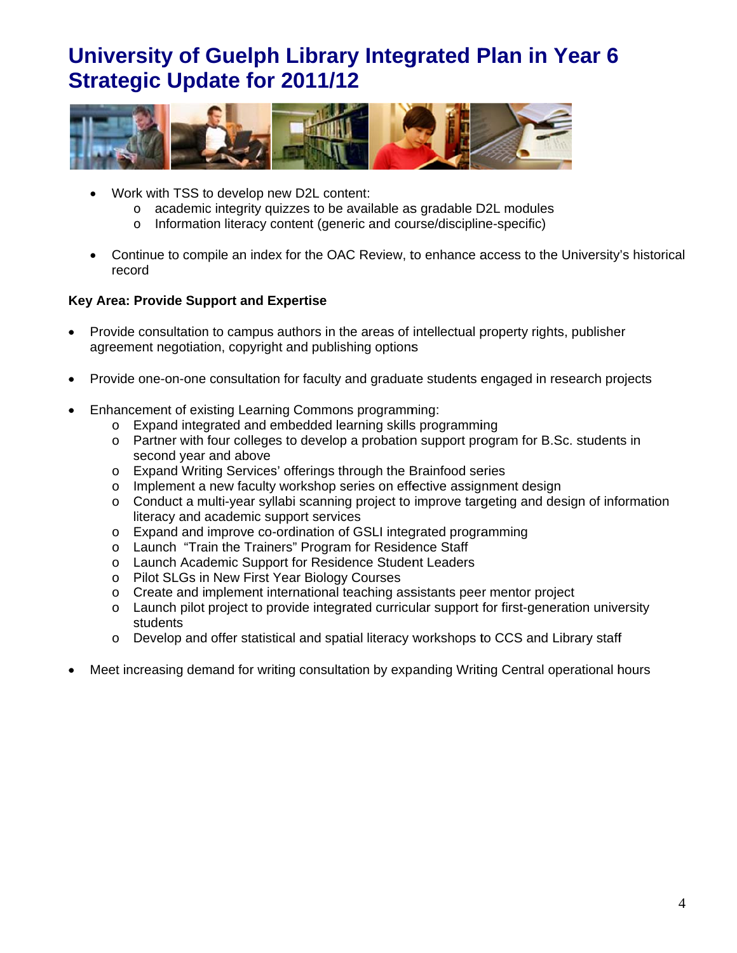

- Work with TSS to develop new D2L content:
	- o academic integrity quizzes to be available as gradable D2L modules
	- o Information literacy content (generic and course/discipline-specific)
- Continue to compile an index for the OAC Review, to enhance access to the University's historical record

### **Key Area: Provide Support and Expertise**

- Provide consultation to campus authors in the areas of intellectual property rights, publisher agreement negotiation, copyright and publishing options
- Provide one-on-one consultation for faculty and graduate students engaged in research projects
- Enhancement of existing Learning Commons programming:
	- o Expand integrated and embedded learning skills programming
	- $\circ$  Partner with four colleges to develop a probation support program for B.Sc. students in second year and above
	- o Expand Writing Services' offerings through the Brainfood series
	- Implement a new faculty workshop series on effective assignment design  $\circ$
	- $\circ$  Conduct a multi-year syllabi scanning project to improve targeting and design of information literacy and academic support services
	- Expand and improve co-ordination of GSLI integrated programming  $\circ$
	- o Launch "Train the Trainers" Program for Residence Staff
	- o Launch Academic Support for Residence Student Leaders
	- o Pilot SLGs in New First Year Biology Courses
	- o Create and implement international teaching assistants peer mentor project
	- o Launch pilot project to provide integrated curricular support for first-generation university students
	- Develop and offer statistical and spatial literacy workshops to CCS and Library staff  $\circ$
- Meet increasing demand for writing consultation by expanding Writing Central operational hours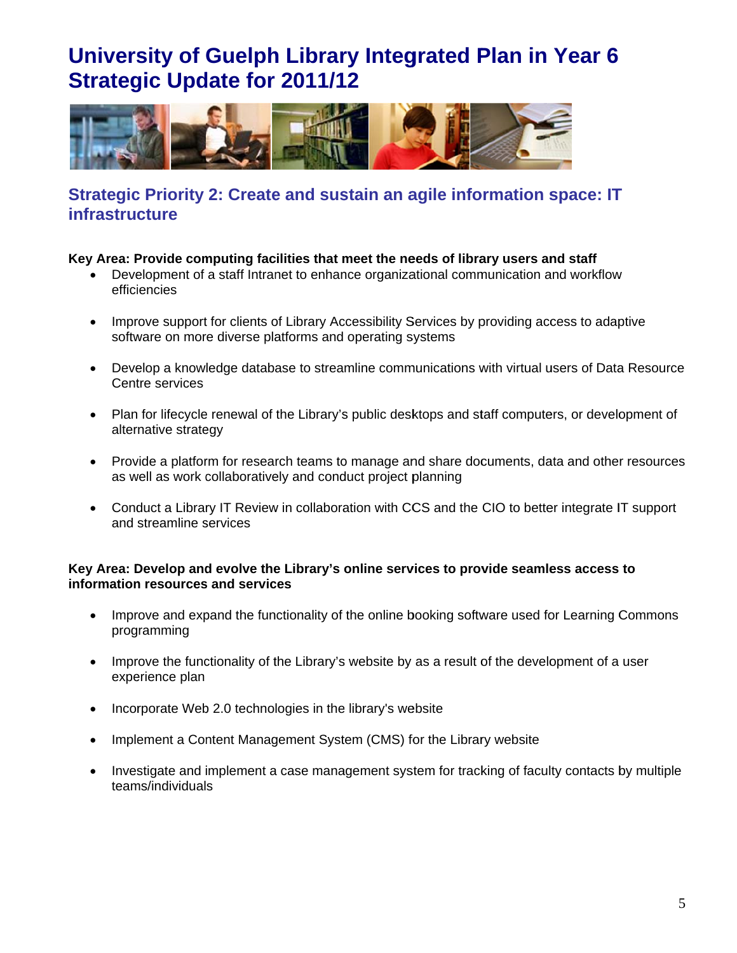

### Strategic Priority 2: Create and sustain an agile information space: IT **infrastructure**

### Key Area: Provide computing facilities that meet the needs of library users and staff

- Development of a staff Intranet to enhance organizational communication and workflow efficiencies
- Improve support for clients of Library Accessibility Services by providing access to adaptive software on more diverse platforms and operating systems
- Develop a knowledge database to streamline communications with virtual users of Data Resource Centre services
- Plan for lifecycle renewal of the Library's public desktops and staff computers, or development of alternative strategy
- Provide a platform for research teams to manage and share documents, data and other resources as well as work collaboratively and conduct project planning
- Conduct a Library IT Review in collaboration with CCS and the CIO to better integrate IT support and streamline services

#### Key Area: Develop and evolve the Library's online services to provide seamless access to information resources and services

- Improve and expand the functionality of the online booking software used for Learning Commons  $\bullet$ programming
- Improve the functionality of the Library's website by as a result of the development of a user  $\bullet$ experience plan
- Incorporate Web 2.0 technologies in the library's website  $\bullet$
- Implement a Content Management System (CMS) for the Library website
- Investigate and implement a case management system for tracking of faculty contacts by multiple  $\bullet$ teams/individuals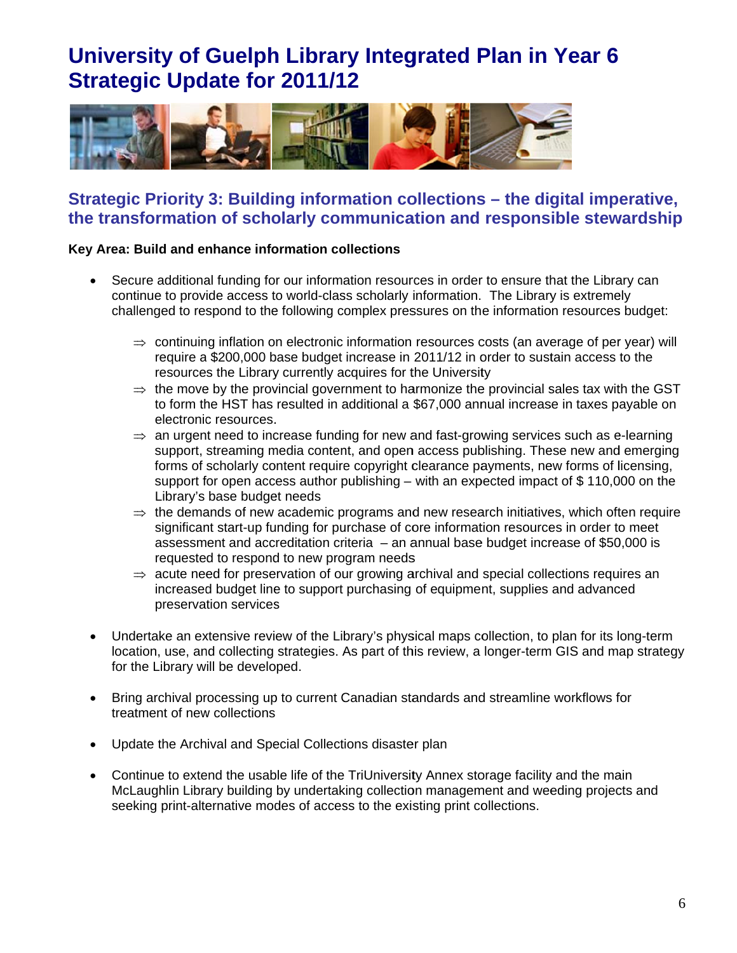

### Strategic Priority 3: Building information collections – the digital imperative, the transformation of scholarly communication and responsible stewardship

### Key Area: Build and enhance information collections

- Secure additional funding for our information resources in order to ensure that the Library can  $\bullet$ continue to provide access to world-class scholarly information. The Library is extremely challenged to respond to the following complex pressures on the information resources budget:
	- $\Rightarrow$  continuing inflation on electronic information resources costs (an average of per year) will require a \$200,000 base budget increase in 2011/12 in order to sustain access to the resources the Library currently acquires for the University
	- $\Rightarrow$  the move by the provincial government to harmonize the provincial sales tax with the GST to form the HST has resulted in additional a \$67,000 annual increase in taxes payable on electronic resources.
	- $\Rightarrow$  an urgent need to increase funding for new and fast-growing services such as e-learning support, streaming media content, and open access publishing. These new and emerging forms of scholarly content require copyright clearance payments, new forms of licensing, support for open access author publishing  $-$  with an expected impact of \$110,000 on the Library's base budget needs
	- $\Rightarrow$  the demands of new academic programs and new research initiatives, which often require significant start-up funding for purchase of core information resources in order to meet assessment and accreditation criteria  $-$  an annual base budget increase of \$50,000 is requested to respond to new program needs
	- $\Rightarrow$  acute need for preservation of our growing archival and special collections requires an increased budget line to support purchasing of equipment, supplies and advanced preservation services
- Undertake an extensive review of the Library's physical maps collection, to plan for its long-term location, use, and collecting strategies. As part of this review, a longer-term GIS and map strategy for the Library will be developed.
- Bring archival processing up to current Canadian standards and streamline workflows for treatment of new collections
- Update the Archival and Special Collections disaster plan
- Continue to extend the usable life of the TriUniversity Annex storage facility and the main McLaughlin Library building by undertaking collection management and weeding projects and seeking print-alternative modes of access to the existing print collections.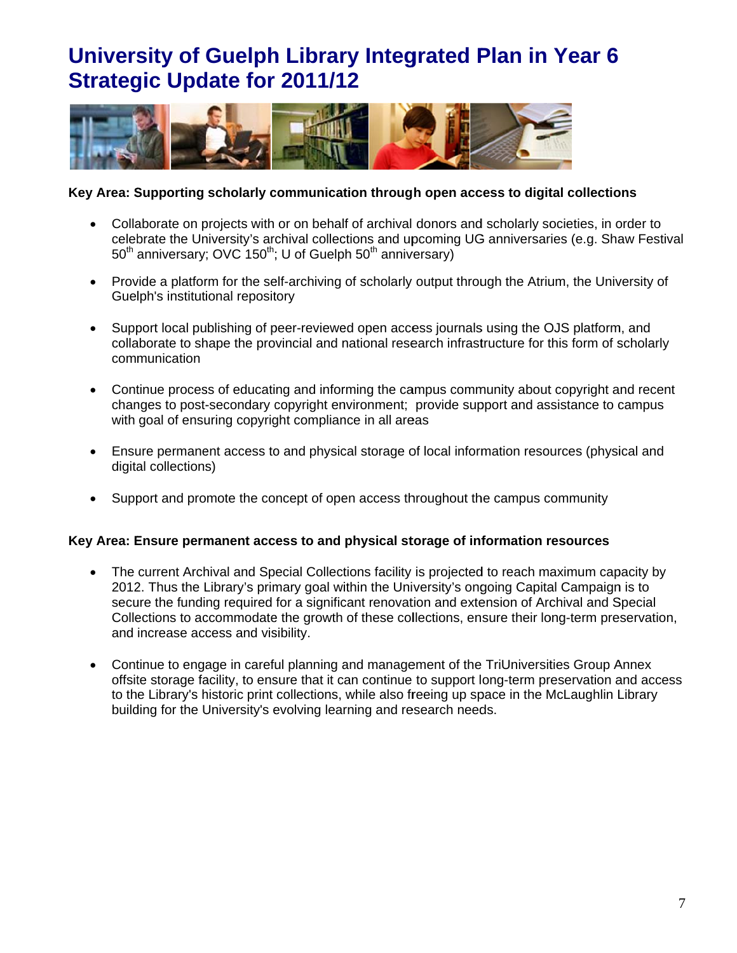

### Key Area: Supporting scholarly communication through open access to digital collections

- Collaborate on projects with or on behalf of archival donors and scholarly societies, in order to celebrate the University's archival collections and upcoming UG anniversaries (e.g. Shaw Festival 50<sup>th</sup> anniversary; OVC 150<sup>th</sup>; U of Guelph 50<sup>th</sup> anniversary)
- Provide a platform for the self-archiving of scholarly output through the Atrium, the University of Guelph's institutional repository
- Support local publishing of peer-reviewed open access journals using the OJS platform, and  $\bullet$ collaborate to shape the provincial and national research infrastructure for this form of scholarly communication
- Continue process of educating and informing the campus community about copyright and recent changes to post-secondary copyright environment; provide support and assistance to campus with goal of ensuring copyright compliance in all areas
- Ensure permanent access to and physical storage of local information resources (physical and digital collections)
- Support and promote the concept of open access throughout the campus community

### Key Area: Ensure permanent access to and physical storage of information resources

- The current Archival and Special Collections facility is projected to reach maximum capacity by 2012. Thus the Library's primary goal within the University's ongoing Capital Campaign is to secure the funding required for a significant renovation and extension of Archival and Special Collections to accommodate the growth of these collections, ensure their long-term preservation, and increase access and visibility.
- Continue to engage in careful planning and management of the TriUniversities Group Annex offsite storage facility, to ensure that it can continue to support long-term preservation and access to the Library's historic print collections, while also freeing up space in the McLaughlin Library building for the University's evolving learning and research needs.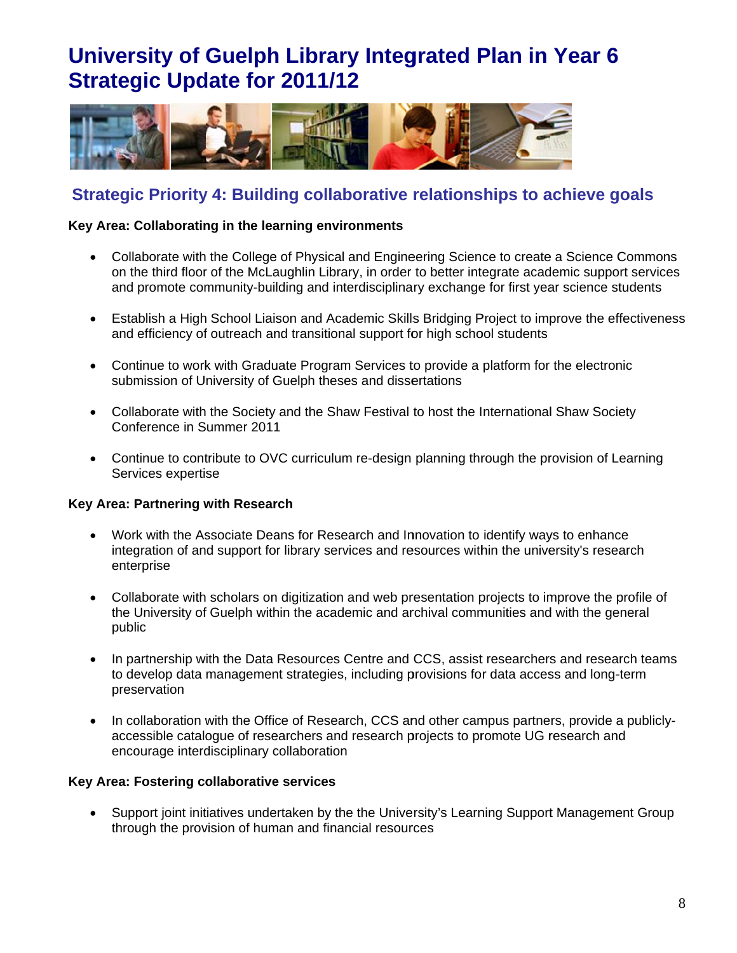

### **Strategic Priority 4: Building collaborative relationships to achieve goals**

### Key Area: Collaborating in the learning environments

- Collaborate with the College of Physical and Engineering Science to create a Science Commons on the third floor of the McLaughlin Library, in order to better integrate academic support services and promote community-building and interdisciplinary exchange for first year science students
- Establish a High School Liaison and Academic Skills Bridging Project to improve the effectiveness and efficiency of outreach and transitional support for high school students
- Continue to work with Graduate Program Services to provide a platform for the electronic submission of University of Guelph theses and dissertations
- Collaborate with the Society and the Shaw Festival to host the International Shaw Society Conference in Summer 2011
- Continue to contribute to OVC curriculum re-design planning through the provision of Learning Services expertise

### Key Area: Partnering with Research

- Work with the Associate Deans for Research and Innovation to identify ways to enhance integration of and support for library services and resources within the university's research enterprise
- Collaborate with scholars on digitization and web presentation projects to improve the profile of the University of Guelph within the academic and archival communities and with the general public
- In partnership with the Data Resources Centre and CCS, assist researchers and research teams  $\bullet$ to develop data management strategies, including provisions for data access and long-term preservation
- In collaboration with the Office of Research, CCS and other campus partners, provide a publiclyaccessible catalogue of researchers and research projects to promote UG research and encourage interdisciplinary collaboration

### Key Area: Fostering collaborative services

• Support joint initiatives undertaken by the the University's Learning Support Management Group through the provision of human and financial resources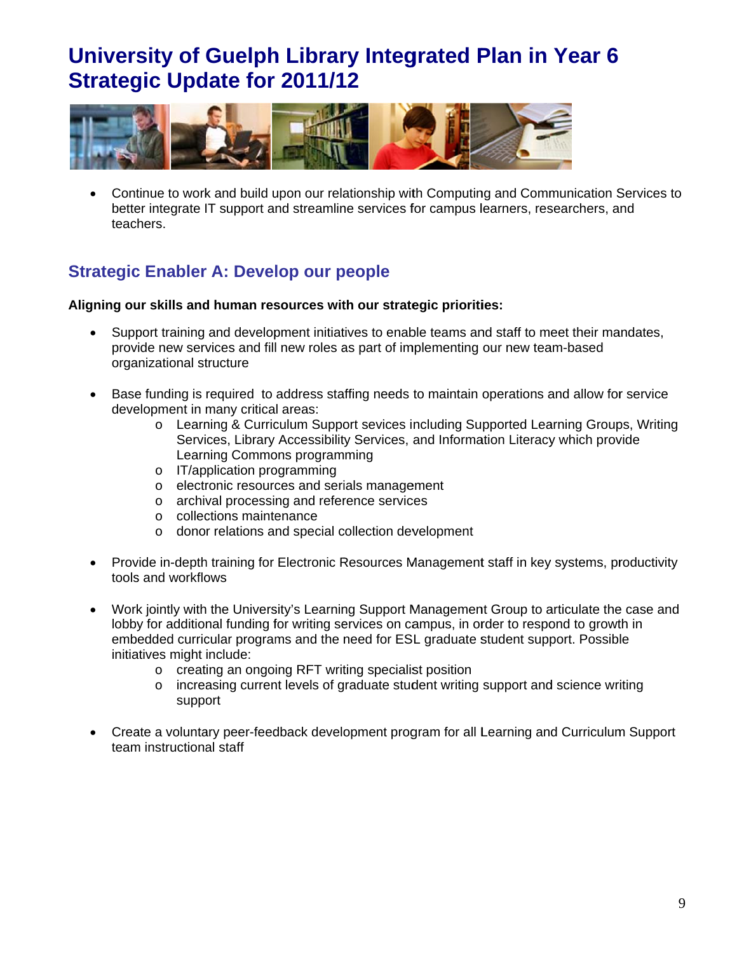

• Continue to work and build upon our relationship with Computing and Communication Services to better integrate IT support and streamline services for campus learners, researchers, and teachers.

### **Strategic Enabler A: Develop our people**

#### Aligning our skills and human resources with our strategic priorities:

- Support training and development initiatives to enable teams and staff to meet their mandates, provide new services and fill new roles as part of implementing our new team-based organizational structure
- Base funding is required to address staffing needs to maintain operations and allow for service development in many critical areas:
	- o Learning & Curriculum Support sevices including Supported Learning Groups, Writing Services, Library Accessibility Services, and Information Literacy which provide Learning Commons programming
	- o IT/application programming
	- o electronic resources and serials management
	- o archival processing and reference services
	- o collections maintenance
	- o donor relations and special collection development
- Provide in-depth training for Electronic Resources Management staff in key systems, productivity tools and workflows
- Work jointly with the University's Learning Support Management Group to articulate the case and lobby for additional funding for writing services on campus, in order to respond to growth in embedded curricular programs and the need for ESL graduate student support. Possible initiatives might include:
	- o creating an ongoing RFT writing specialist position
	- o increasing current levels of graduate student writing support and science writing support
- Create a voluntary peer-feedback development program for all Learning and Curriculum Support team instructional staff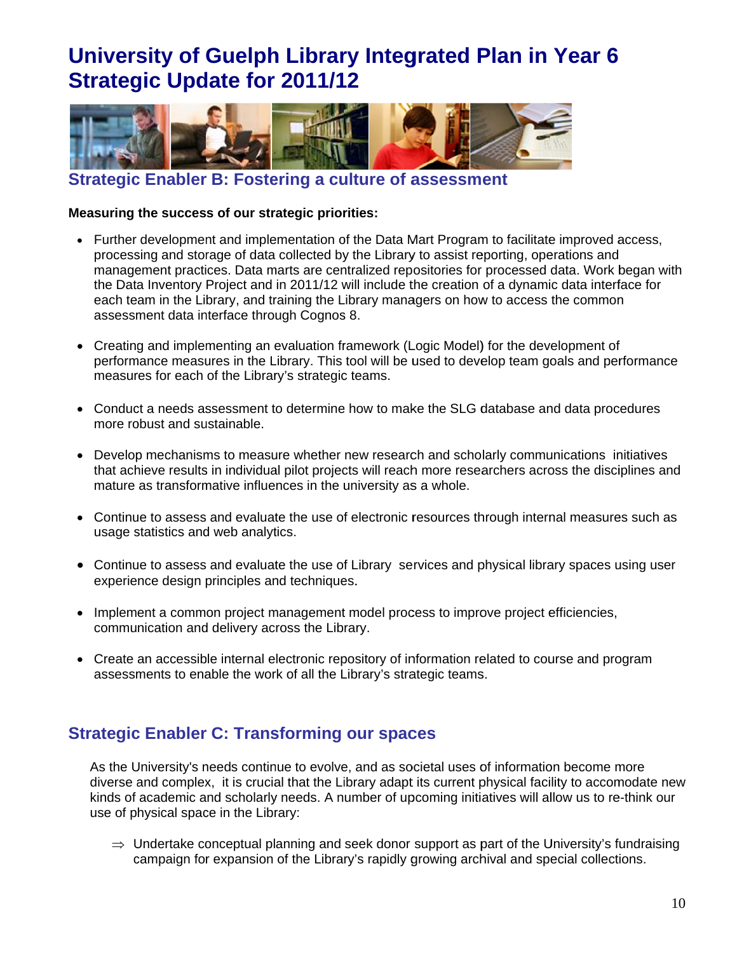

**Strategic Enabler B: Fostering a culture of assessment** 

#### Measuring the success of our strategic priorities:

- Further development and implementation of the Data Mart Program to facilitate improved access, processing and storage of data collected by the Library to assist reporting, operations and management practices. Data marts are centralized repositories for processed data. Work began with the Data Inventory Project and in 2011/12 will include the creation of a dynamic data interface for each team in the Library, and training the Library managers on how to access the common assessment data interface through Cognos 8.
- Creating and implementing an evaluation framework (Logic Model) for the development of performance measures in the Library. This tool will be used to develop team goals and performance measures for each of the Library's strategic teams.
- Conduct a needs assessment to determine how to make the SLG database and data procedures more robust and sustainable.
- Develop mechanisms to measure whether new research and scholarly communications initiatives that achieve results in individual pilot projects will reach more researchers across the disciplines and mature as transformative influences in the university as a whole.
- Continue to assess and evaluate the use of electronic resources through internal measures such as usage statistics and web analytics.
- Continue to assess and evaluate the use of Library services and physical library spaces using user experience design principles and techniques.
- Implement a common project management model process to improve project efficiencies, communication and delivery across the Library.
- Create an accessible internal electronic repository of information related to course and program assessments to enable the work of all the Library's strategic teams.

### **Strategic Enabler C: Transforming our spaces**

As the University's needs continue to evolve, and as societal uses of information become more diverse and complex, it is crucial that the Library adapt its current physical facility to accomodate new kinds of academic and scholarly needs. A number of upcoming initiatives will allow us to re-think our use of physical space in the Library:

 $\Rightarrow$  Undertake conceptual planning and seek donor support as part of the University's fundraising campaign for expansion of the Library's rapidly growing archival and special collections.